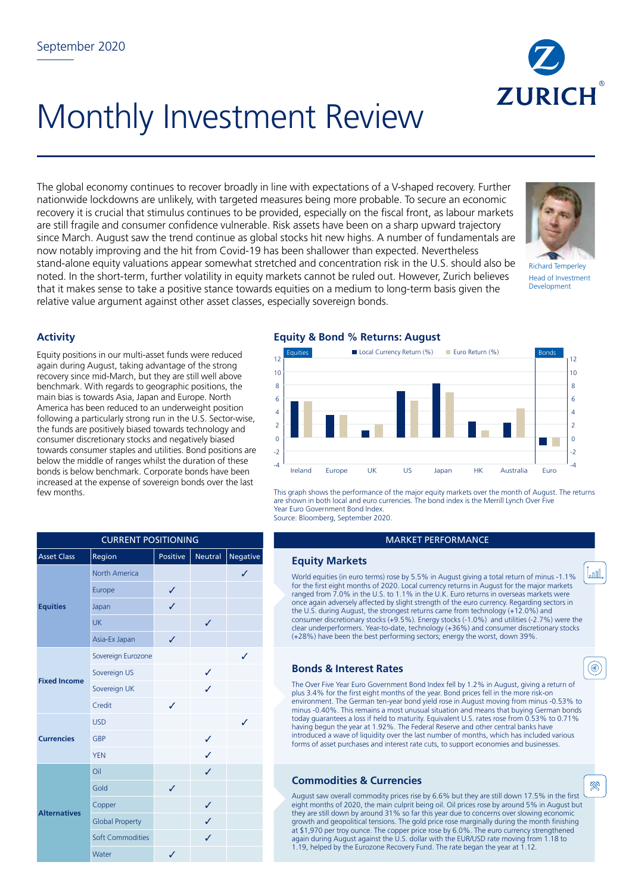

# Monthly Investment Review

The global economy continues to recover broadly in line with expectations of a V-shaped recovery. Further nationwide lockdowns are unlikely, with targeted measures being more probable. To secure an economic recovery it is crucial that stimulus continues to be provided, especially on the fiscal front, as labour markets are still fragile and consumer confidence vulnerable. Risk assets have been on a sharp upward trajectory since March. August saw the trend continue as global stocks hit new highs. A number of fundamentals are now notably improving and the hit from Covid-19 has been shallower than expected. Nevertheless stand-alone equity valuations appear somewhat stretched and concentration risk in the U.S. should also be noted. In the short-term, further volatility in equity markets cannot be ruled out. However, Zurich believes that it makes sense to take a positive stance towards equities on a medium to long-term basis given the relative value argument against other asset classes, especially sovereign bonds.



Richard Temperley Head of Investment Development

l<sub>a</sub>nnl

◉

**RR** 

## **Activity**

Equity positions in our multi-asset funds were reduced again during August, taking advantage of the strong recovery since mid-March, but they are still well above benchmark. With regards to geographic positions, the main bias is towards Asia, Japan and Europe. North America has been reduced to an underweight position following a particularly strong run in the U.S. Sector-wise, the funds are positively biased towards technology and consumer discretionary stocks and negatively biased towards consumer staples and utilities. Bond positions are below the middle of ranges whilst the duration of these bonds is below benchmark. Corporate bonds have been increased at the expense of sovereign bonds over the last few months.

| <b>CURRENT POSITIONING</b> |                         |          |         |          |  |  |  |
|----------------------------|-------------------------|----------|---------|----------|--|--|--|
| <b>Asset Class</b>         | Region                  | Positive | Neutral | Negative |  |  |  |
| <b>Equities</b>            | <b>North America</b>    |          |         | ✓        |  |  |  |
|                            | Europe                  | ✓        |         |          |  |  |  |
|                            | Japan                   | J        |         |          |  |  |  |
|                            | <b>UK</b>               |          | J       |          |  |  |  |
|                            | Asia-Ex Japan           | ✓        |         |          |  |  |  |
| <b>Fixed Income</b>        | Sovereign Eurozone      |          |         | ✓        |  |  |  |
|                            | Sovereign US            |          | ✓       |          |  |  |  |
|                            | Sovereign UK            |          | ✓       |          |  |  |  |
|                            | Credit                  | J        |         |          |  |  |  |
| <b>Currencies</b>          | <b>USD</b>              |          |         | ✓        |  |  |  |
|                            | <b>GBP</b>              |          | ✓       |          |  |  |  |
|                            | <b>YEN</b>              |          | ✓       |          |  |  |  |
| <b>Alternatives</b>        | Oil                     |          | ✓       |          |  |  |  |
|                            | Gold                    | ✓        |         |          |  |  |  |
|                            | Copper                  |          | ✓       |          |  |  |  |
|                            | <b>Global Property</b>  |          | ✓       |          |  |  |  |
|                            | <b>Soft Commodities</b> |          | ✓       |          |  |  |  |
|                            | Water                   | ✓        |         |          |  |  |  |

## **Equity & Bond % Returns: August**



This graph shows the performance of the major equity markets over the month of August. The returns are shown in both local and euro currencies. The bond index is the Merrill Lynch Over Five Year Euro Government Bond Index. Source: Bloomberg, September 2020.

#### **MARKET PERFORMANCE**

#### **Equity Markets**

World equities (in euro terms) rose by 5.5% in August giving a total return of minus -1.1% for the first eight months of 2020. Local currency returns in August for the major markets ranged from 7.0% in the U.S. to 1.1% in the U.K. Euro returns in overseas markets were once again adversely affected by slight strength of the euro currency. Regarding sectors in the U.S. during August, the strongest returns came from technology (+12.0%) and consumer discretionary stocks (+9.5%). Energy stocks (-1.0%) and utilities (-2.7%) were the clear underperformers. Year-to-date, technology (+36%) and consumer discretionary stocks (+28%) have been the best performing sectors; energy the worst, down 39%.

#### **Bonds & Interest Rates**

The Over Five Year Euro Government Bond Index fell by 1.2% in August, giving a return of plus 3.4% for the first eight months of the year. Bond prices fell in the more risk-on environment. The German ten-year bond yield rose in August moving from minus -0.53% to minus -0.40%. This remains a most unusual situation and means that buying German bonds today guarantees a loss if held to maturity. Equivalent U.S. rates rose from 0.53% to 0.71% having begun the year at 1.92%. The Federal Reserve and other central banks have introduced a wave of liquidity over the last number of months, which has included various forms of asset purchases and interest rate cuts, to support economies and businesses.

### **Commodities & Currencies**

August saw overall commodity prices rise by 6.6% but they are still down 17.5% in the first eight months of 2020, the main culprit being oil. Oil prices rose by around 5% in August but they are still down by around 31% so far this year due to concerns over slowing economic growth and geopolitical tensions. The gold price rose marginally during the month finishing at \$1,970 per troy ounce. The copper price rose by 6.0%. The euro currency strengthened again during August against the U.S. dollar with the EUR/USD rate moving from 1.18 to 1.19, helped by the Eurozone Recovery Fund. The rate began the year at 1.12.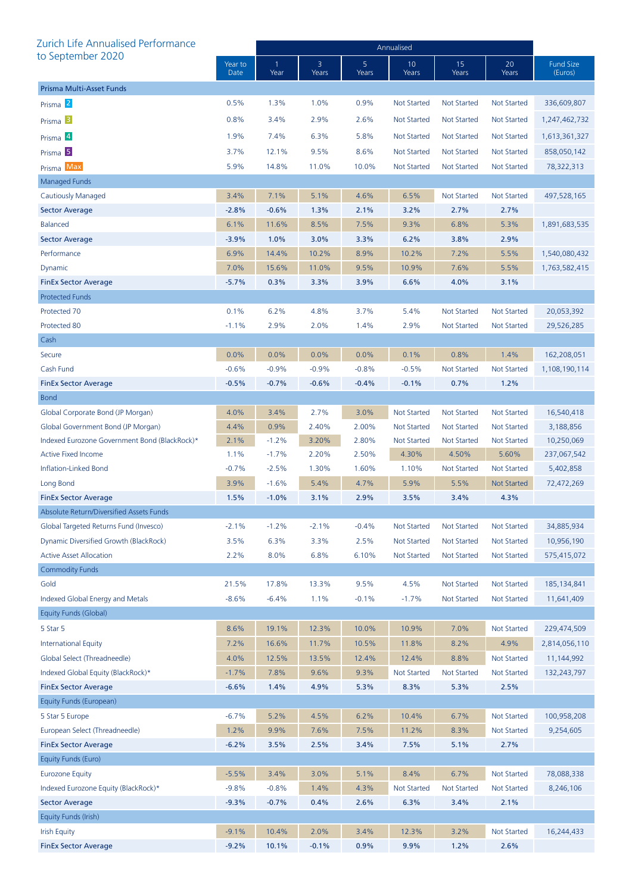| Zurich Life Annualised Performance            |                 | Annualised           |            |            |                    |                    |                    |                             |  |
|-----------------------------------------------|-----------------|----------------------|------------|------------|--------------------|--------------------|--------------------|-----------------------------|--|
| to September 2020                             | Year to<br>Date | $\mathbf{1}$<br>Year | 3<br>Years | 5<br>Years | 10<br>Years        | 15<br>Years        | 20<br>Years        | <b>Fund Size</b><br>(Euros) |  |
| Prisma Multi-Asset Funds                      |                 |                      |            |            |                    |                    |                    |                             |  |
| Prisma <sup>2</sup>                           | 0.5%            | 1.3%                 | 1.0%       | 0.9%       | <b>Not Started</b> | <b>Not Started</b> | Not Started        | 336,609,807                 |  |
| Prisma <sup>3</sup>                           | 0.8%            | 3.4%                 | 2.9%       | 2.6%       | <b>Not Started</b> | <b>Not Started</b> | Not Started        | 1,247,462,732               |  |
| Prisma 4                                      | 1.9%            | 7.4%                 | 6.3%       | 5.8%       | Not Started        | <b>Not Started</b> | <b>Not Started</b> | 1,613,361,327               |  |
| Prisma <sup>5</sup>                           | 3.7%            | 12.1%                | 9.5%       | 8.6%       | <b>Not Started</b> | <b>Not Started</b> | Not Started        | 858,050,142                 |  |
| Prisma Max                                    | 5.9%            | 14.8%                | 11.0%      | 10.0%      | <b>Not Started</b> | <b>Not Started</b> | Not Started        | 78,322,313                  |  |
| <b>Managed Funds</b>                          |                 |                      |            |            |                    |                    |                    |                             |  |
| Cautiously Managed                            | 3.4%            | 7.1%                 | 5.1%       | 4.6%       | 6.5%               | <b>Not Started</b> | <b>Not Started</b> | 497,528,165                 |  |
| Sector Average                                | $-2.8%$         | $-0.6%$              | 1.3%       | 2.1%       | 3.2%               | 2.7%               | 2.7%               |                             |  |
| <b>Balanced</b>                               | 6.1%            | 11.6%                | 8.5%       | 7.5%       | 9.3%               | 6.8%               | 5.3%               | 1,891,683,535               |  |
| <b>Sector Average</b>                         | $-3.9%$         | 1.0%                 | 3.0%       | 3.3%       | 6.2%               | 3.8%               | 2.9%               |                             |  |
| Performance                                   | 6.9%            | 14.4%                | 10.2%      | 8.9%       | 10.2%              | 7.2%               | 5.5%               | 1,540,080,432               |  |
| Dynamic                                       | 7.0%            | 15.6%                | 11.0%      | 9.5%       | 10.9%              | 7.6%               | 5.5%               | 1,763,582,415               |  |
| <b>FinEx Sector Average</b>                   | $-5.7%$         | 0.3%                 | 3.3%       | 3.9%       | 6.6%               | 4.0%               | 3.1%               |                             |  |
| <b>Protected Funds</b>                        |                 |                      |            |            |                    |                    |                    |                             |  |
| Protected 70                                  | 0.1%            | 6.2%                 | 4.8%       | 3.7%       | 5.4%               | <b>Not Started</b> | <b>Not Started</b> | 20,053,392                  |  |
| Protected 80                                  | $-1.1%$         | 2.9%                 | 2.0%       | 1.4%       | 2.9%               | <b>Not Started</b> | <b>Not Started</b> | 29,526,285                  |  |
| Cash                                          |                 |                      |            |            |                    |                    |                    |                             |  |
| Secure                                        | 0.0%            | 0.0%                 | 0.0%       | 0.0%       | 0.1%               | 0.8%               | 1.4%               | 162,208,051                 |  |
| Cash Fund                                     | $-0.6%$         | $-0.9%$              | $-0.9%$    | $-0.8%$    | $-0.5%$            | <b>Not Started</b> | Not Started        | 1,108,190,114               |  |
| <b>FinEx Sector Average</b>                   | $-0.5%$         | $-0.7%$              | $-0.6%$    | $-0.4%$    | $-0.1%$            | 0.7%               | 1.2%               |                             |  |
| <b>Bond</b>                                   |                 |                      |            |            |                    |                    |                    |                             |  |
| Global Corporate Bond (JP Morgan)             | 4.0%            | 3.4%                 | 2.7%       | 3.0%       | <b>Not Started</b> | <b>Not Started</b> | <b>Not Started</b> | 16,540,418                  |  |
| Global Government Bond (JP Morgan)            | 4.4%            | 0.9%                 | 2.40%      | 2.00%      | <b>Not Started</b> | <b>Not Started</b> | Not Started        | 3,188,856                   |  |
| Indexed Eurozone Government Bond (BlackRock)* | 2.1%            | $-1.2%$              | 3.20%      | 2.80%      | <b>Not Started</b> | <b>Not Started</b> | <b>Not Started</b> | 10,250,069                  |  |
| <b>Active Fixed Income</b>                    | 1.1%            | $-1.7%$              | 2.20%      | 2.50%      | 4.30%              | 4.50%              | 5.60%              | 237,067,542                 |  |
| Inflation-Linked Bond                         | $-0.7%$         | $-2.5%$              | 1.30%      | 1.60%      | 1.10%              | <b>Not Started</b> | Not Started        | 5,402,858                   |  |
| Long Bond                                     | 3.9%            | $-1.6%$              | 5.4%       | 4.7%       | 5.9%               | 5.5%               | <b>Not Started</b> | 72,472,269                  |  |
| <b>FinEx Sector Average</b>                   | 1.5%            | $-1.0%$              | 3.1%       | 2.9%       | 3.5%               | 3.4%               | 4.3%               |                             |  |
| Absolute Return/Diversified Assets Funds      |                 |                      |            |            |                    |                    |                    |                             |  |
| Global Targeted Returns Fund (Invesco)        | $-2.1%$         | $-1.2%$              | $-2.1%$    | $-0.4%$    | <b>Not Started</b> | <b>Not Started</b> | Not Started        | 34,885,934                  |  |
| Dynamic Diversified Growth (BlackRock)        | 3.5%            | 6.3%                 | 3.3%       | 2.5%       | <b>Not Started</b> | <b>Not Started</b> | Not Started        | 10,956,190                  |  |
| <b>Active Asset Allocation</b>                | 2.2%            | 8.0%                 | 6.8%       | 6.10%      | <b>Not Started</b> | <b>Not Started</b> | <b>Not Started</b> | 575,415,072                 |  |
| <b>Commodity Funds</b>                        |                 |                      |            |            |                    |                    |                    |                             |  |
| Gold                                          | 21.5%           | 17.8%                | 13.3%      | 9.5%       | 4.5%               | <b>Not Started</b> | <b>Not Started</b> | 185, 134, 841               |  |
| Indexed Global Energy and Metals              | $-8.6%$         | $-6.4%$              | 1.1%       | $-0.1%$    | $-1.7%$            | <b>Not Started</b> | <b>Not Started</b> | 11,641,409                  |  |
| Equity Funds (Global)                         |                 |                      |            |            |                    |                    |                    |                             |  |
| 5 Star 5                                      | 8.6%            | 19.1%                | 12.3%      | 10.0%      | 10.9%              | 7.0%               | <b>Not Started</b> | 229,474,509                 |  |
| <b>International Equity</b>                   | 7.2%            | 16.6%                | 11.7%      | 10.5%      | 11.8%              | 8.2%               | 4.9%               | 2,814,056,110               |  |
| Global Select (Threadneedle)                  | 4.0%            | 12.5%                | 13.5%      | 12.4%      | 12.4%              | 8.8%               | <b>Not Started</b> | 11,144,992                  |  |
| Indexed Global Equity (BlackRock)*            | $-1.7%$         | 7.8%                 | 9.6%       | 9.3%       | <b>Not Started</b> | <b>Not Started</b> | <b>Not Started</b> | 132,243,797                 |  |
| <b>FinEx Sector Average</b>                   | $-6.6%$         | 1.4%                 | 4.9%       | 5.3%       | 8.3%               | 5.3%               | 2.5%               |                             |  |
| Equity Funds (European)                       |                 |                      |            |            |                    |                    |                    |                             |  |
| 5 Star 5 Europe                               | $-6.7%$         | 5.2%                 | 4.5%       | 6.2%       | 10.4%              | 6.7%               | <b>Not Started</b> | 100,958,208                 |  |
| European Select (Threadneedle)                | 1.2%            | 9.9%                 | 7.6%       | 7.5%       | 11.2%              | 8.3%               | <b>Not Started</b> | 9,254,605                   |  |
| <b>FinEx Sector Average</b>                   | $-6.2%$         | 3.5%                 | 2.5%       | 3.4%       | 7.5%               | 5.1%               | 2.7%               |                             |  |
| Equity Funds (Euro)                           |                 |                      |            |            |                    |                    |                    |                             |  |
| <b>Eurozone Equity</b>                        | $-5.5%$         | 3.4%                 | 3.0%       | 5.1%       | 8.4%               | 6.7%               | Not Started        | 78,088,338                  |  |
| Indexed Eurozone Equity (BlackRock)*          | $-9.8%$         | $-0.8%$              | 1.4%       | 4.3%       | <b>Not Started</b> | <b>Not Started</b> | <b>Not Started</b> | 8,246,106                   |  |
| <b>Sector Average</b>                         | $-9.3%$         | $-0.7%$              | 0.4%       | 2.6%       | 6.3%               | 3.4%               | 2.1%               |                             |  |
| Equity Funds (Irish)                          |                 |                      |            |            |                    |                    |                    |                             |  |
| <b>Irish Equity</b>                           | $-9.1%$         | 10.4%                | 2.0%       | 3.4%       | 12.3%              | 3.2%               | <b>Not Started</b> | 16,244,433                  |  |
| <b>FinEx Sector Average</b>                   | $-9.2%$         | 10.1%                | $-0.1%$    | 0.9%       | 9.9%               | 1.2%               | 2.6%               |                             |  |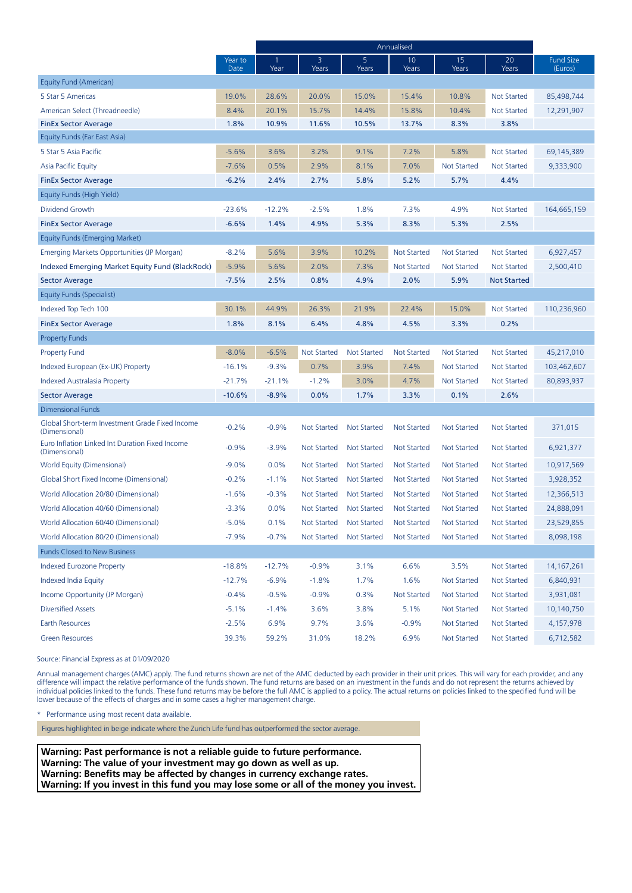|                                                                  |                 | Annualised |                    |                    |                    |                    |                    |                             |
|------------------------------------------------------------------|-----------------|------------|--------------------|--------------------|--------------------|--------------------|--------------------|-----------------------------|
|                                                                  | Year to<br>Date | 1<br>Year  | 3<br>Years         | 5<br>Years         | 10<br>Years        | 15<br>Years        | 20<br>Years        | <b>Fund Size</b><br>(Euros) |
| Equity Fund (American)                                           |                 |            |                    |                    |                    |                    |                    |                             |
| 5 Star 5 Americas                                                | 19.0%           | 28.6%      | 20.0%              | 15.0%              | 15.4%              | 10.8%              | <b>Not Started</b> | 85,498,744                  |
| American Select (Threadneedle)                                   | 8.4%            | 20.1%      | 15.7%              | 14.4%              | 15.8%              | 10.4%              | <b>Not Started</b> | 12,291,907                  |
| <b>FinEx Sector Average</b>                                      | 1.8%            | 10.9%      | 11.6%              | 10.5%              | 13.7%              | 8.3%               | 3.8%               |                             |
| Equity Funds (Far East Asia)                                     |                 |            |                    |                    |                    |                    |                    |                             |
| 5 Star 5 Asia Pacific                                            | $-5.6%$         | 3.6%       | 3.2%               | 9.1%               | 7.2%               | 5.8%               | <b>Not Started</b> | 69,145,389                  |
| Asia Pacific Equity                                              | $-7.6%$         | 0.5%       | 2.9%               | 8.1%               | 7.0%               | <b>Not Started</b> | <b>Not Started</b> | 9,333,900                   |
| <b>FinEx Sector Average</b>                                      | $-6.2%$         | 2.4%       | 2.7%               | 5.8%               | 5.2%               | 5.7%               | 4.4%               |                             |
| Equity Funds (High Yield)                                        |                 |            |                    |                    |                    |                    |                    |                             |
| Dividend Growth                                                  | $-23.6%$        | $-12.2%$   | $-2.5%$            | 1.8%               | 7.3%               | 4.9%               | <b>Not Started</b> | 164,665,159                 |
| <b>FinEx Sector Average</b>                                      | $-6.6%$         | 1.4%       | 4.9%               | 5.3%               | 8.3%               | 5.3%               | 2.5%               |                             |
| Equity Funds (Emerging Market)                                   |                 |            |                    |                    |                    |                    |                    |                             |
| Emerging Markets Opportunities (JP Morgan)                       | $-8.2%$         | 5.6%       | 3.9%               | 10.2%              | <b>Not Started</b> | <b>Not Started</b> | <b>Not Started</b> | 6,927,457                   |
| Indexed Emerging Market Equity Fund (BlackRock)                  | $-5.9%$         | 5.6%       | 2.0%               | 7.3%               | <b>Not Started</b> | <b>Not Started</b> | <b>Not Started</b> | 2,500,410                   |
| <b>Sector Average</b>                                            | $-7.5%$         | 2.5%       | 0.8%               | 4.9%               | 2.0%               | 5.9%               | <b>Not Started</b> |                             |
| Equity Funds (Specialist)                                        |                 |            |                    |                    |                    |                    |                    |                             |
| Indexed Top Tech 100                                             | 30.1%           | 44.9%      | 26.3%              | 21.9%              | 22.4%              | 15.0%              | Not Started        | 110,236,960                 |
| <b>FinEx Sector Average</b>                                      | 1.8%            | 8.1%       | 6.4%               | 4.8%               | 4.5%               | 3.3%               | 0.2%               |                             |
| <b>Property Funds</b>                                            |                 |            |                    |                    |                    |                    |                    |                             |
| <b>Property Fund</b>                                             | $-8.0%$         | $-6.5%$    | <b>Not Started</b> | <b>Not Started</b> | <b>Not Started</b> | <b>Not Started</b> | Not Started        | 45,217,010                  |
| Indexed European (Ex-UK) Property                                | $-16.1%$        | $-9.3%$    | 0.7%               | 3.9%               | 7.4%               | <b>Not Started</b> | <b>Not Started</b> | 103,462,607                 |
| Indexed Australasia Property                                     | $-21.7%$        | $-21.1%$   | $-1.2%$            | 3.0%               | 4.7%               | <b>Not Started</b> | <b>Not Started</b> | 80,893,937                  |
| <b>Sector Average</b>                                            | $-10.6%$        | $-8.9%$    | 0.0%               | 1.7%               | 3.3%               | 0.1%               | 2.6%               |                             |
| Dimensional Funds                                                |                 |            |                    |                    |                    |                    |                    |                             |
| Global Short-term Investment Grade Fixed Income<br>(Dimensional) | $-0.2%$         | $-0.9%$    | Not Started        | <b>Not Started</b> | <b>Not Started</b> | <b>Not Started</b> | Not Started        | 371,015                     |
| Euro Inflation Linked Int Duration Fixed Income<br>(Dimensional) | $-0.9%$         | $-3.9%$    | Not Started        | Not Started        | <b>Not Started</b> | <b>Not Started</b> | Not Started        | 6,921,377                   |
| World Equity (Dimensional)                                       | $-9.0%$         | 0.0%       | Not Started        | <b>Not Started</b> | <b>Not Started</b> | <b>Not Started</b> | Not Started        | 10,917,569                  |
| Global Short Fixed Income (Dimensional)                          | $-0.2%$         | $-1.1%$    | Not Started        | Not Started        | <b>Not Started</b> | <b>Not Started</b> | <b>Not Started</b> | 3,928,352                   |
| World Allocation 20/80 (Dimensional)                             | $-1.6%$         | $-0.3%$    | Not Started        | Not Started        | <b>Not Started</b> | <b>Not Started</b> | Not Started        | 12,366,513                  |
| World Allocation 40/60 (Dimensional)                             | $-3.3%$         | 0.0%       | Not Started        | <b>Not Started</b> | <b>Not Started</b> | <b>Not Started</b> | <b>Not Started</b> | 24,888,091                  |
| World Allocation 60/40 (Dimensional)                             | $-5.0%$         | 0.1%       | Not Started        | Not Started        | Not Started        | Not Started        | Not Started        | 23,529,855                  |
| World Allocation 80/20 (Dimensional)                             | $-7.9%$         | $-0.7%$    | <b>Not Started</b> | <b>Not Started</b> | <b>Not Started</b> | <b>Not Started</b> | <b>Not Started</b> | 8,098,198                   |
| <b>Funds Closed to New Business</b>                              |                 |            |                    |                    |                    |                    |                    |                             |
| <b>Indexed Eurozone Property</b>                                 | $-18.8%$        | $-12.7%$   | $-0.9%$            | 3.1%               | 6.6%               | 3.5%               | <b>Not Started</b> | 14, 167, 261                |
| Indexed India Equity                                             | $-12.7%$        | $-6.9%$    | $-1.8%$            | 1.7%               | 1.6%               | <b>Not Started</b> | <b>Not Started</b> | 6,840,931                   |
| Income Opportunity (JP Morgan)                                   | $-0.4%$         | $-0.5%$    | $-0.9%$            | 0.3%               | Not Started        | <b>Not Started</b> | Not Started        | 3,931,081                   |
| <b>Diversified Assets</b>                                        | $-5.1%$         | $-1.4%$    | 3.6%               | 3.8%               | 5.1%               | <b>Not Started</b> | <b>Not Started</b> | 10,140,750                  |
| Earth Resources                                                  | $-2.5%$         | 6.9%       | 9.7%               | 3.6%               | $-0.9%$            | <b>Not Started</b> | Not Started        | 4,157,978                   |
| <b>Green Resources</b>                                           | 39.3%           | 59.2%      | 31.0%              | 18.2%              | 6.9%               | <b>Not Started</b> | <b>Not Started</b> | 6,712,582                   |

Source: Financial Express as at 01/09/2020

Annual management charges (AMC) apply. The fund returns shown are net of the AMC deducted by each provider in their unit prices. This will vary for each provider, and any difference will impact the relative performance of the funds shown. The fund returns are based on an investment in the funds and do not represent the returns achieved by individual policies linked to the funds. These fund returns may be before the full AMC is applied to a policy. The actual returns on policies linked to the specified fund will be lower because of the effects of charges and in some cases a higher management charge.

Performance using most recent data available.

Figures highlighted in beige indicate where the Zurich Life fund has outperformed the sector average.

**Warning: Past performance is not a reliable guide to future performance. Warning: The value of your investment may go down as well as up. Warning: Benefits may be affected by changes in currency exchange rates. Warning: If you invest in this fund you may lose some or all of the money you invest.**